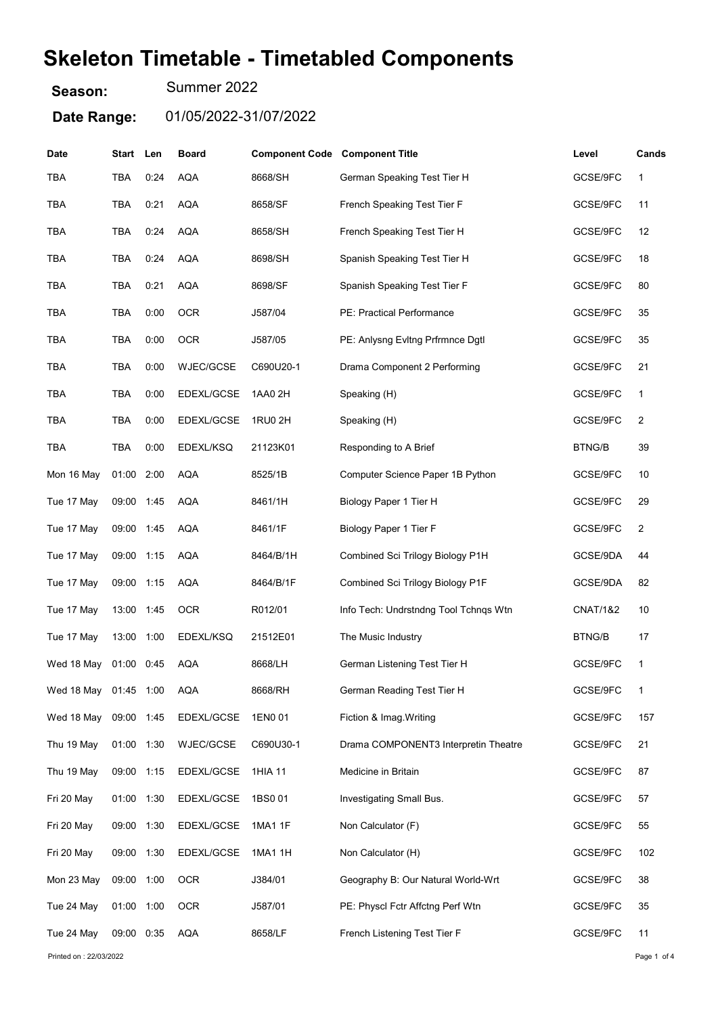## Skeleton Timetable - Timetabled Components

Season: Summer 2022

Date Range: 01/05/2022-31/07/2022

| Date                   | Start Len  |      | <b>Board</b> | <b>Component Code Component Title</b> |                                       | Level               | Cands        |
|------------------------|------------|------|--------------|---------------------------------------|---------------------------------------|---------------------|--------------|
| <b>TBA</b>             | TBA        | 0:24 | <b>AQA</b>   | 8668/SH                               | German Speaking Test Tier H           | GCSE/9FC            | 1            |
| TBA                    | TBA        | 0:21 | <b>AQA</b>   | 8658/SF                               | French Speaking Test Tier F           | GCSE/9FC            | 11           |
| TBA                    | TBA        | 0:24 | <b>AQA</b>   | 8658/SH                               | French Speaking Test Tier H           | GCSE/9FC            | 12           |
| <b>TBA</b>             | TBA        | 0:24 | <b>AQA</b>   | 8698/SH                               | Spanish Speaking Test Tier H          | GCSE/9FC            | 18           |
| <b>TBA</b>             | TBA        | 0:21 | <b>AQA</b>   | 8698/SF                               | Spanish Speaking Test Tier F          | GCSE/9FC            | 80           |
| <b>TBA</b>             | <b>TBA</b> | 0:00 | <b>OCR</b>   | J587/04                               | PE: Practical Performance             | GCSE/9FC            | 35           |
| TBA                    | TBA        | 0:00 | <b>OCR</b>   | J587/05                               | PE: Anlysng Evitng Prfrmnce Dgtl      | GCSE/9FC            | 35           |
| TBA                    | TBA        | 0:00 | WJEC/GCSE    | C690U20-1                             | Drama Component 2 Performing          | GCSE/9FC            | 21           |
| <b>TBA</b>             | TBA        | 0:00 | EDEXL/GCSE   | 1AA0 2H                               | Speaking (H)                          | GCSE/9FC            | 1            |
| <b>TBA</b>             | TBA        | 0:00 | EDEXL/GCSE   | 1RU0 2H                               | Speaking (H)                          | GCSE/9FC            | 2            |
| <b>TBA</b>             | <b>TBA</b> | 0:00 | EDEXL/KSQ    | 21123K01                              | Responding to A Brief                 | <b>BTNG/B</b>       | 39           |
| Mon 16 May             | 01:00      | 2:00 | <b>AQA</b>   | 8525/1B                               | Computer Science Paper 1B Python      | GCSE/9FC            | 10           |
| Tue 17 May             | 09:00 1:45 |      | <b>AQA</b>   | 8461/1H                               | Biology Paper 1 Tier H                | GCSE/9FC            | 29           |
| Tue 17 May             | 09:00 1:45 |      | <b>AQA</b>   | 8461/1F                               | Biology Paper 1 Tier F                | GCSE/9FC            | 2            |
| Tue 17 May             | 09:00      | 1:15 | <b>AQA</b>   | 8464/B/1H                             | Combined Sci Trilogy Biology P1H      | GCSE/9DA            | 44           |
| Tue 17 May             | 09:00 1:15 |      | <b>AQA</b>   | 8464/B/1F                             | Combined Sci Trilogy Biology P1F      | GCSE/9DA            | 82           |
| Tue 17 May             | 13:00      | 1:45 | <b>OCR</b>   | R012/01                               | Info Tech: Undrstndng Tool Tchngs Wtn | <b>CNAT/1&amp;2</b> | 10           |
| Tue 17 May             | 13:00      | 1:00 | EDEXL/KSQ    | 21512E01                              | The Music Industry                    | <b>BTNG/B</b>       | 17           |
| Wed 18 May             | 01:00      | 0:45 | <b>AQA</b>   | 8668/LH                               | German Listening Test Tier H          | GCSE/9FC            | 1            |
| Wed 18 May 01:45 1:00  |            |      | AQA          | 8668/RH                               | German Reading Test Tier H            | GCSE/9FC            | $\mathbf{1}$ |
| Wed 18 May             | 09:00 1:45 |      | EDEXL/GCSE   | 1EN0 01                               | Fiction & Imag. Writing               | GCSE/9FC            | 157          |
| Thu 19 May             | 01:00 1:30 |      | WJEC/GCSE    | C690U30-1                             | Drama COMPONENT3 Interpretin Theatre  | GCSE/9FC            | 21           |
| Thu 19 May             | 09:00 1:15 |      | EDEXL/GCSE   | 1HIA 11                               | Medicine in Britain                   | GCSE/9FC            | 87           |
| Fri 20 May             | 01:00 1:30 |      | EDEXL/GCSE   | 1BS001                                | Investigating Small Bus.              | GCSE/9FC            | 57           |
| Fri 20 May             | 09:00 1:30 |      | EDEXL/GCSE   | 1MA1 1F                               | Non Calculator (F)                    | GCSE/9FC            | 55           |
| Fri 20 May             | 09:00 1:30 |      | EDEXL/GCSE   | 1MA1 1H                               | Non Calculator (H)                    | GCSE/9FC            | 102          |
| Mon 23 May             | 09:00 1:00 |      | <b>OCR</b>   | J384/01                               | Geography B: Our Natural World-Wrt    | GCSE/9FC            | 38           |
| Tue 24 May             | 01:00 1:00 |      | <b>OCR</b>   | J587/01                               | PE: Physcl Fctr Affctng Perf Wtn      | GCSE/9FC            | 35           |
| Tue 24 May             | 09:00 0:35 |      | <b>AQA</b>   | 8658/LF                               | French Listening Test Tier F          | GCSE/9FC            | 11           |
| Printed on: 22/03/2022 |            |      |              |                                       |                                       |                     | Page 1 of 4  |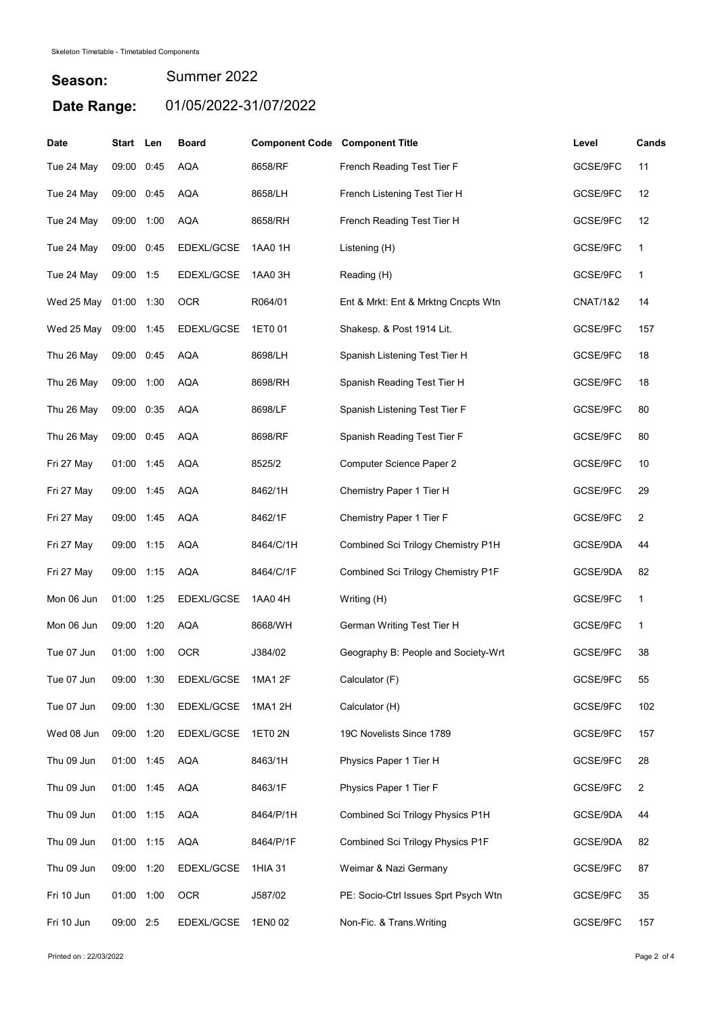## Season: Date Range: 01/05/2022-31/07/2022 Summer 2022

| <b>Date</b> | Start Len  |      | <b>Board</b> | <b>Component Code Component Title</b> |                                      | Level               | Cands          |
|-------------|------------|------|--------------|---------------------------------------|--------------------------------------|---------------------|----------------|
| Tue 24 May  | 09:00      | 0:45 | <b>AQA</b>   | 8658/RF                               | French Reading Test Tier F           | GCSE/9FC            | 11             |
| Tue 24 May  | 09:00      | 0:45 | <b>AQA</b>   | 8658/LH                               | French Listening Test Tier H         | GCSE/9FC            | 12             |
| Tue 24 May  | 09:00      | 1:00 | <b>AQA</b>   | 8658/RH                               | French Reading Test Tier H           | GCSE/9FC            | 12             |
| Tue 24 May  | 09:00      | 0:45 | EDEXL/GCSE   | 1AA0 1H                               | Listening (H)                        | GCSE/9FC            | 1              |
| Tue 24 May  | 09:00 1:5  |      | EDEXL/GCSE   | 1AA0 3H                               | Reading (H)                          | GCSE/9FC            | 1              |
| Wed 25 May  | 01:00      | 1:30 | <b>OCR</b>   | R064/01                               | Ent & Mrkt: Ent & Mrktng Cncpts Wtn  | <b>CNAT/1&amp;2</b> | 14             |
| Wed 25 May  | 09:00 1:45 |      | EDEXL/GCSE   | 1ET0 01                               | Shakesp. & Post 1914 Lit.            | GCSE/9FC            | 157            |
| Thu 26 May  | 09:00      | 0:45 | <b>AQA</b>   | 8698/LH                               | Spanish Listening Test Tier H        | GCSE/9FC            | 18             |
| Thu 26 May  | 09:00 1:00 |      | <b>AQA</b>   | 8698/RH                               | Spanish Reading Test Tier H          | GCSE/9FC            | 18             |
| Thu 26 May  | 09:00      | 0:35 | <b>AQA</b>   | 8698/LF                               | Spanish Listening Test Tier F        | GCSE/9FC            | 80             |
| Thu 26 May  | 09:00      | 0:45 | <b>AQA</b>   | 8698/RF                               | Spanish Reading Test Tier F          | GCSE/9FC            | 80             |
| Fri 27 May  | 01:00 1:45 |      | <b>AQA</b>   | 8525/2                                | <b>Computer Science Paper 2</b>      | GCSE/9FC            | 10             |
| Fri 27 May  | 09:00 1:45 |      | <b>AQA</b>   | 8462/1H                               | Chemistry Paper 1 Tier H             | GCSE/9FC            | 29             |
| Fri 27 May  | 09:00 1:45 |      | <b>AQA</b>   | 8462/1F                               | Chemistry Paper 1 Tier F             | GCSE/9FC            | 2              |
| Fri 27 May  | 09:00      | 1:15 | <b>AQA</b>   | 8464/C/1H                             | Combined Sci Trilogy Chemistry P1H   | GCSE/9DA            | 44             |
| Fri 27 May  | 09:00 1:15 |      | <b>AQA</b>   | 8464/C/1F                             | Combined Sci Trilogy Chemistry P1F   | GCSE/9DA            | 82             |
| Mon 06 Jun  | 01:00      | 1:25 | EDEXL/GCSE   | 1AA0 4H                               | Writing (H)                          | GCSE/9FC            | 1              |
| Mon 06 Jun  | 09:00      | 1:20 | <b>AQA</b>   | 8668/WH                               | German Writing Test Tier H           | GCSE/9FC            | 1              |
| Tue 07 Jun  | 01:00      | 1:00 | <b>OCR</b>   | J384/02                               | Geography B: People and Society-Wrt  | GCSE/9FC            | 38             |
| Tue 07 Jun  | 09:00 1:30 |      | EDEXL/GCSE   | 1MA1 2F                               | Calculator (F)                       | GCSE/9FC            | 55             |
| Tue 07 Jun  | 09:00 1:30 |      | EDEXL/GCSE   | 1MA1 2H                               | Calculator (H)                       | GCSE/9FC            | 102            |
| Wed 08 Jun  | 09:00 1:20 |      | EDEXL/GCSE   | 1ET0 2N                               | 19C Novelists Since 1789             | GCSE/9FC            | 157            |
| Thu 09 Jun  | 01:00 1:45 |      | <b>AQA</b>   | 8463/1H                               | Physics Paper 1 Tier H               | GCSE/9FC            | 28             |
| Thu 09 Jun  | 01:00 1:45 |      | <b>AQA</b>   | 8463/1F                               | Physics Paper 1 Tier F               | GCSE/9FC            | $\overline{2}$ |
| Thu 09 Jun  | 01:00 1:15 |      | <b>AQA</b>   | 8464/P/1H                             | Combined Sci Trilogy Physics P1H     | GCSE/9DA            | 44             |
| Thu 09 Jun  | 01:00 1:15 |      | <b>AQA</b>   | 8464/P/1F                             | Combined Sci Trilogy Physics P1F     | GCSE/9DA            | 82             |
| Thu 09 Jun  | 09:00 1:20 |      | EDEXL/GCSE   | 1HIA 31                               | Weimar & Nazi Germany                | GCSE/9FC            | 87             |
| Fri 10 Jun  | 01:00 1:00 |      | <b>OCR</b>   | J587/02                               | PE: Socio-Ctrl Issues Sprt Psych Wtn | GCSE/9FC            | 35             |
| Fri 10 Jun  | 09:00 2:5  |      | EDEXL/GCSE   | 1EN0 02                               | Non-Fic. & Trans. Writing            | GCSE/9FC            | 157            |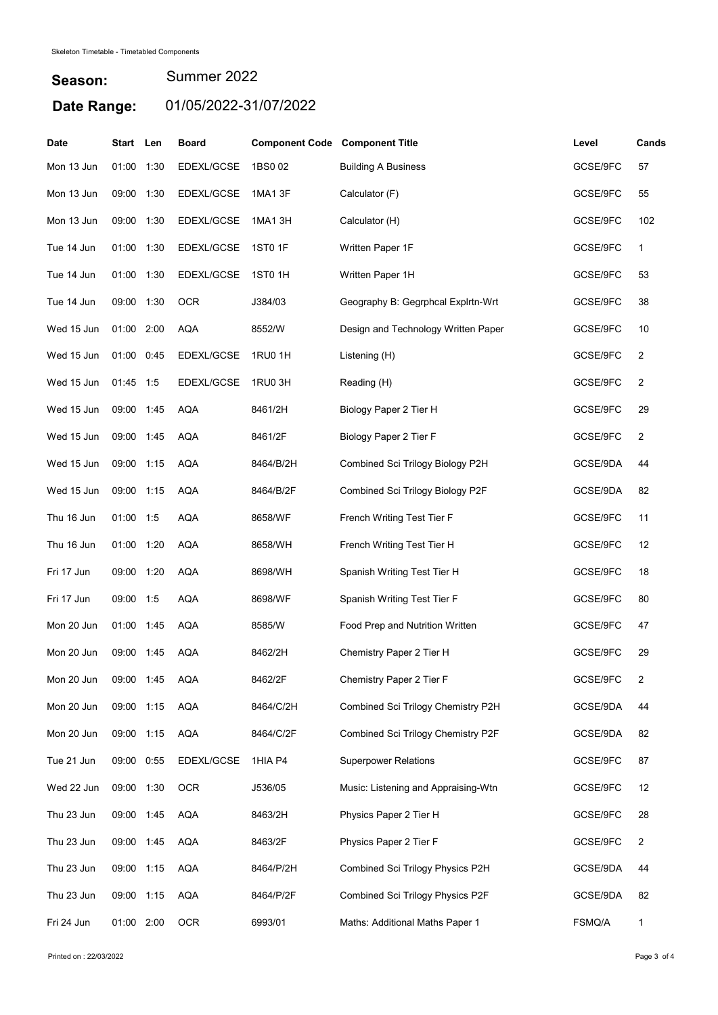## Season: Date Range: 01/05/2022-31/07/2022 Summer 2022

| Date       | Start Len  |      | <b>Board</b> | <b>Component Code Component Title</b> |                                     | Level    | Cands          |
|------------|------------|------|--------------|---------------------------------------|-------------------------------------|----------|----------------|
| Mon 13 Jun | 01:00      | 1:30 | EDEXL/GCSE   | 1BS0 02                               | <b>Building A Business</b>          | GCSE/9FC | 57             |
| Mon 13 Jun | 09:00      | 1:30 | EDEXL/GCSE   | 1MA1 3F                               | Calculator (F)                      | GCSE/9FC | 55             |
| Mon 13 Jun | 09:00      | 1:30 | EDEXL/GCSE   | 1MA1 3H                               | Calculator (H)                      | GCSE/9FC | 102            |
| Tue 14 Jun | 01:00      | 1:30 | EDEXL/GCSE   | <b>1ST0 1F</b>                        | Written Paper 1F                    | GCSE/9FC | 1              |
| Tue 14 Jun | 01:00 1:30 |      | EDEXL/GCSE   | 1ST0 1H                               | Written Paper 1H                    | GCSE/9FC | 53             |
| Tue 14 Jun | 09:00 1:30 |      | <b>OCR</b>   | J384/03                               | Geography B: Gegrphcal Explrtn-Wrt  | GCSE/9FC | 38             |
| Wed 15 Jun | 01:00 2:00 |      | <b>AQA</b>   | 8552/W                                | Design and Technology Written Paper | GCSE/9FC | 10             |
| Wed 15 Jun | 01:00      | 0:45 | EDEXL/GCSE   | 1RU0 1H                               | Listening (H)                       | GCSE/9FC | 2              |
| Wed 15 Jun | 01:45 1:5  |      | EDEXL/GCSE   | 1RU0 3H                               | Reading (H)                         | GCSE/9FC | 2              |
| Wed 15 Jun | 09:00      | 1:45 | <b>AQA</b>   | 8461/2H                               | Biology Paper 2 Tier H              | GCSE/9FC | 29             |
| Wed 15 Jun | 09:00 1:45 |      | <b>AQA</b>   | 8461/2F                               | Biology Paper 2 Tier F              | GCSE/9FC | 2              |
| Wed 15 Jun | 09:00 1:15 |      | <b>AQA</b>   | 8464/B/2H                             | Combined Sci Trilogy Biology P2H    | GCSE/9DA | 44             |
| Wed 15 Jun | 09:00 1:15 |      | AQA          | 8464/B/2F                             | Combined Sci Trilogy Biology P2F    | GCSE/9DA | 82             |
| Thu 16 Jun | 01:00 1:5  |      | <b>AQA</b>   | 8658/WF                               | French Writing Test Tier F          | GCSE/9FC | 11             |
| Thu 16 Jun | 01:00      | 1:20 | <b>AQA</b>   | 8658/WH                               | French Writing Test Tier H          | GCSE/9FC | 12             |
| Fri 17 Jun | 09:00 1:20 |      | <b>AQA</b>   | 8698/WH                               | Spanish Writing Test Tier H         | GCSE/9FC | 18             |
| Fri 17 Jun | 09:00 1:5  |      | <b>AQA</b>   | 8698/WF                               | Spanish Writing Test Tier F         | GCSE/9FC | 80             |
| Mon 20 Jun | 01:00      | 1:45 | <b>AQA</b>   | 8585/W                                | Food Prep and Nutrition Written     | GCSE/9FC | 47             |
| Mon 20 Jun | 09:00      | 1:45 | <b>AQA</b>   | 8462/2H                               | Chemistry Paper 2 Tier H            | GCSE/9FC | 29             |
| Mon 20 Jun | 09:00 1:45 |      | AQA          | 8462/2F                               | Chemistry Paper 2 Tier F            | GCSE/9FC | 2              |
| Mon 20 Jun | 09:00 1:15 |      | <b>AQA</b>   | 8464/C/2H                             | Combined Sci Trilogy Chemistry P2H  | GCSE/9DA | 44             |
| Mon 20 Jun | 09:00 1:15 |      | AQA          | 8464/C/2F                             | Combined Sci Trilogy Chemistry P2F  | GCSE/9DA | 82             |
| Tue 21 Jun | 09:00 0:55 |      | EDEXL/GCSE   | 1HIA P4                               | <b>Superpower Relations</b>         | GCSE/9FC | 87             |
| Wed 22 Jun | 09:00 1:30 |      | <b>OCR</b>   | J536/05                               | Music: Listening and Appraising-Wtn | GCSE/9FC | 12             |
| Thu 23 Jun | 09:00 1:45 |      | <b>AQA</b>   | 8463/2H                               | Physics Paper 2 Tier H              | GCSE/9FC | 28             |
| Thu 23 Jun | 09:00 1:45 |      | <b>AQA</b>   | 8463/2F                               | Physics Paper 2 Tier F              | GCSE/9FC | $\overline{2}$ |
| Thu 23 Jun | 09:00 1:15 |      | <b>AQA</b>   | 8464/P/2H                             | Combined Sci Trilogy Physics P2H    | GCSE/9DA | 44             |
| Thu 23 Jun | 09:00 1:15 |      | <b>AQA</b>   | 8464/P/2F                             | Combined Sci Trilogy Physics P2F    | GCSE/9DA | 82             |
| Fri 24 Jun | 01:00 2:00 |      | <b>OCR</b>   | 6993/01                               | Maths: Additional Maths Paper 1     | FSMQ/A   | 1              |